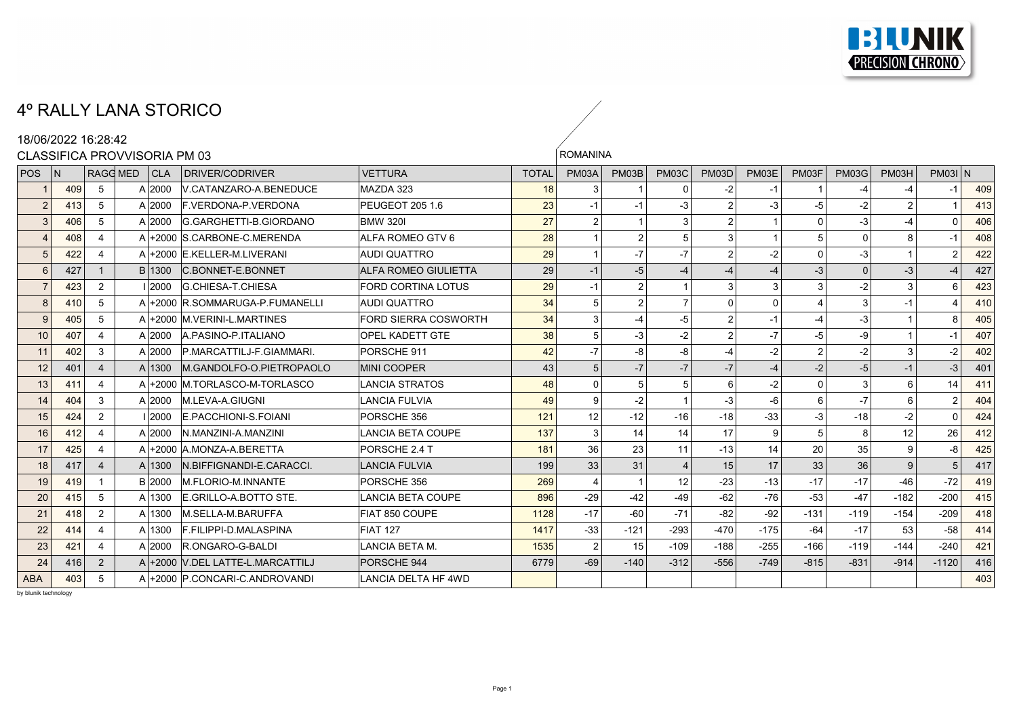

## 4º RALLY LANA STORICO

|                | 18/06/2022 16:28:42 |                             |                              |                                  |                             |              |                 |                |                |                |                |                |                |        |           |     |
|----------------|---------------------|-----------------------------|------------------------------|----------------------------------|-----------------------------|--------------|-----------------|----------------|----------------|----------------|----------------|----------------|----------------|--------|-----------|-----|
|                |                     |                             | CLASSIFICA PROVVISORIA PM 03 |                                  |                             |              | <b>ROMANINA</b> |                |                |                |                |                |                |        |           |     |
| <b>POS</b>     | l N                 |                             | RAGG MED<br> CLA             | DRIVER/CODRIVER                  | <b>VETTURA</b>              | <b>TOTAL</b> | PM03A           | PM03B          | <b>PM03C</b>   | <b>PM03D</b>   | PM03E          | PM03F          | <b>PM03G</b>   | PM03H  | $PM03I$ N |     |
|                | 409                 | 5                           | $A$ 2000                     | V.CATANZARO-A.BENEDUCE           | MAZDA 323                   | 18           | 3               |                | 0              | -2             | -1             |                | -4             | -4     | $-1$      | 409 |
| $\overline{2}$ | 413                 | 5                           | $A$ 2000                     | <b>F. VERDONA-P. VERDONA</b>     | PEUGEOT 205 1.6             | 23           | $-1$            | -1             | -3             | 2              | $-3$           | $-5$           | $-2$           | 2      |           | 413 |
| 3              | 406                 | 5                           | A 2000                       | G.GARGHETTI-B.GIORDANO           | <b>BMW 320I</b>             | 27           | 2 <sup>2</sup>  |                | 3 <sup>1</sup> | $\overline{2}$ | $\overline{1}$ | $\Omega$       | $-3$           | -4     | $\Omega$  | 406 |
|                | 408                 |                             |                              | A +2000 S.CARBONE-C.MERENDA      | ALFA ROMEO GTV 6            | 28           |                 | $\overline{2}$ | 5 <sup>1</sup> | 3              |                | 5              | $\Omega$       | 8      | $-1$      | 408 |
| 5              | 422                 | $\boldsymbol{\Delta}$       |                              | A +2000 E.KELLER-M.LIVERANI      | <b>AUDI QUATTRO</b>         | 29           | $\mathbf{1}$    | $-7$           | $-7$           | $\overline{2}$ | $-2$           | $\Omega$       | $-3$           |        | 2         | 422 |
| 6              | 427                 |                             | B 1300                       | <b>C.BONNET-E.BONNET</b>         | <b>ALFA ROMEO GIULIETTA</b> | 29           | $-1$            | $-5$           | $-4$           | $-4$           | $-4$           | $-3$           | $\overline{0}$ | -3     |           | 427 |
|                | 423                 | 2                           | .0000 ا                      | G.CHIESA-T.CHIESA                | <b>FORD CORTINA LOTUS</b>   | 29           | $-1$            | $\mathfrak{p}$ |                | 3              | $\vert$ 3      | 3              | $-2$           | 3      | 6         | 423 |
| 8              | 410                 | 5                           |                              | A +2000 R.SOMMARUGA-P.FUMANELLI  | <b>AUDI QUATTRO</b>         | 34           | 5 <sup>1</sup>  | $\overline{2}$ | $\overline{7}$ | $\mathbf{0}$   | $\mathbf 0$    | $\overline{4}$ | 3 <sup>1</sup> | $-1$   |           | 410 |
| 9              | 405                 | 5                           |                              | A +2000 M. VERINI-L. MARTINES    | FORD SIERRA COSWORTH        | 34           | 3 <sup>1</sup>  |                | $-5$           | 2              | $-1$           | $-4$           | $-3$           |        | 8         | 405 |
| 10             | 407                 | Δ                           | A 2000                       | A PASINO-P ITALIANO              | <b>OPEL KADETT GTE</b>      | 38           | 5 <sup>1</sup>  | $-3$           | $-2$           | 2              | $-7$           | $-5$           | $-9$           |        | $-1$      | 407 |
| 11             | 402                 | 3                           | A 2000                       | P.MARCATTILJ-F.GIAMMARI.         | PORSCHE 911                 | 42           | $-7$            | $-8$           | -8             | $-4$           | $-2$           | $\overline{2}$ | $-2$           | 3      | $-2$      | 402 |
| 12             | 401                 | $\overline{4}$              | A 1300                       | M.GANDOLFO-O.PIETROPAOLO         | <b>MINI COOPER</b>          | 43           | 5 <sup>1</sup>  | $-7$           | $-7$           | $-7$           | $-4$           | $-2$           | $-5$           | $-1$   | $-3$      | 401 |
| 13             | 411                 | $\Delta$                    |                              | A +2000 M TORLASCO-M-TORLASCO    | <b>LANCIA STRATOS</b>       | 48           | $\Omega$        | 5              | 5              | 6              | $-2$           | $\Omega$       | $\overline{3}$ | 6      | 14        | 411 |
| 14             | 404                 | 3                           | A 2000                       | M.LEVA-A.GIUGNI                  | <b>LANCIA FULVIA</b>        | 49           | $\mathbf{Q}$    | $-2$           |                | $-3$           | $-6$           | 6              | $-7$           | 6      | 2         | 404 |
| 15             | 424                 | 2                           | 2000                         | E.PACCHIONI-S.FOIANI             | PORSCHE 356                 | 121          | 12              | $-12$          | $-16$          | $-18$          | $-33$          | -3             | $-18$          | -2     | $\Omega$  | 424 |
| 16             | 412                 | $\overline{\mathbf{4}}$     | A 2000                       | N. MANZINI-A. MANZINI            | <b>LANCIA BETA COUPE</b>    | 137          | 3               | 14             | 14             | 17             | 9              | 5              | 8 <sup>1</sup> | 12     | 26        | 412 |
| 17             | 425                 | $\overline{4}$              |                              | A +2000 A.MONZA-A.BERETTA        | PORSCHE 2.4 T               | 181          | 36              | 23             | 11             | $-13$          | 14             | 20             | 35             | 9      | -8        | 425 |
| 18             | 417                 | $\boldsymbol{\vartriangle}$ | A 1300                       | IN BIFFIGNANDI-E CARACCI.        | <b>LANCIA FULVIA</b>        | 199          | 33              | 31             | $\Delta$       | 15             | 17             | 33             | 36             | 9      | 5         | 417 |
| 19             | 419                 | $\overline{1}$              | B 2000                       | <b>M.FLORIO-M.INNANTE</b>        | PORSCHE 356                 | 269          | $\overline{4}$  |                | 12             | $-23$          | $-13$          | $-17$          | $-17$          | $-46$  | $-72$     | 419 |
| 20             | 415                 | 5                           | A 1300                       | E GRILLO-A BOTTO STE.            | <b>LANCIA BETA COUPE</b>    | 896          | $-29$           | $-42$          | $-49$          | $-62$          | $-76$          | $-53$          | $-47$          | $-182$ | $-200$    | 415 |
| 21             | 418                 | 2                           | A 1300                       | <b>M.SELLA-M.BARUFFA</b>         | FIAT 850 COUPE              | 1128         | $-17$           | $-60$          | $-71$          | $-82$          | $-92$          | $-131$         | $-119$         | $-154$ | $-209$    | 418 |
| 22             | 414                 | $\overline{4}$              | A 1300                       | <b>F.FILIPPI-D.MALASPINA</b>     | <b>FIAT 127</b>             | 1417         | $-33$           | $-121$         | $-293$         | $-470$         | $-175$         | $-64$          | $-17$          | 53     | $-58$     | 414 |
| 23             | 421                 |                             | A 2000                       | R.ONGARO-G-BALDI                 | LANCIA BETA M.              | 1535         | $\overline{2}$  | 15             | $-109$         | $-188$         | $-255$         | $-166$         | $-119$         | $-144$ | $-240$    | 421 |
| 24             | 416                 | 2                           |                              | A +2000 V.DEL LATTE-L.MARCATTILJ | PORSCHE 944                 | 6779         | $-69$           | $-140$         | $-312$         | $-556$         | $-749$         | $-815$         | $-831$         | $-914$ | $-1120$   | 416 |
| <b>ABA</b>     | 403                 | 5                           |                              | A +2000 P.CONCARI-C.ANDROVANDI   | <b>LANCIA DELTA HF 4WD</b>  |              |                 |                |                |                |                |                |                |        |           | 403 |

 $\frac{1}{\sqrt{2}}$ 

by blunik technology